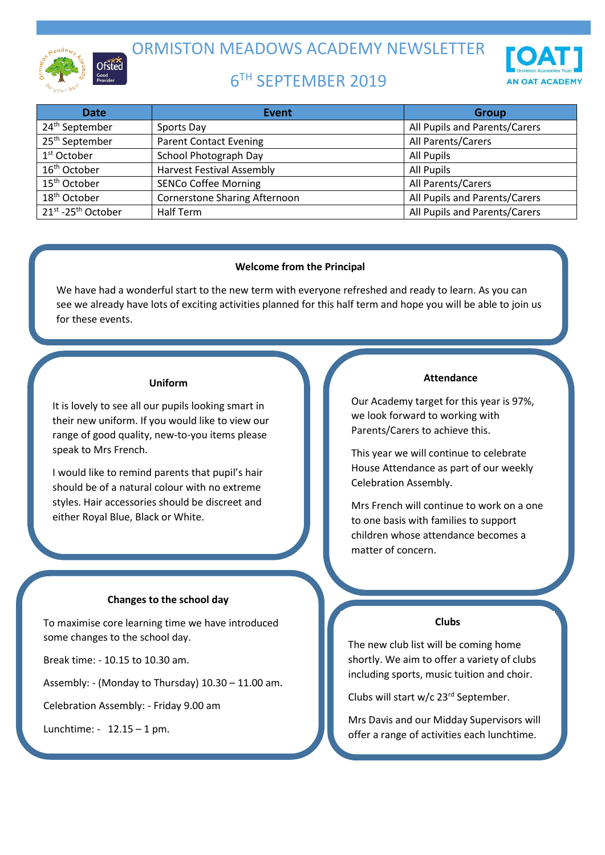

ORMISTON MEADOWS ACADEMY NEWSLETTER

# 6 TH SEPTEMBER 2019

| <b>Date</b>                    | Event                                | <b>Group</b>                  |
|--------------------------------|--------------------------------------|-------------------------------|
| 24 <sup>th</sup> September     | Sports Day                           | All Pupils and Parents/Carers |
| 25 <sup>th</sup> September     | <b>Parent Contact Evening</b>        | All Parents/Carers            |
| $1st$ October                  | School Photograph Day                | All Pupils                    |
| 16 <sup>th</sup> October       | <b>Harvest Festival Assembly</b>     | All Pupils                    |
| 15 <sup>th</sup> October       | <b>SENCo Coffee Morning</b>          | All Parents/Carers            |
| 18 <sup>th</sup> October       | <b>Cornerstone Sharing Afternoon</b> | All Pupils and Parents/Carers |
| 21st -25 <sup>th</sup> October | Half Term                            | All Pupils and Parents/Carers |

# **Welcome from the Principal**

We have had a wonderful start to the new term with everyone refreshed and ready to learn. As you can see we already have lots of exciting activities planned for this half term and hope you will be able to join us for these events.

# **Uniform**

It is lovely to see all our pupils looking smart in their new uniform. If you would like to view our range of good quality, new-to-you items please speak to Mrs French.

I would like to remind parents that pupil's hair should be of a natural colour with no extreme styles. Hair accessories should be discreet and either Royal Blue, Black or White.

# **Changes to the school day**

To maximise core learning time we have introduced some changes to the school day.

Break time: - 10.15 to 10.30 am.

Assembly: - (Monday to Thursday) 10.30 – 11.00 am.

Celebration Assembly: - Friday 9.00 am

Lunchtime: - 12.15 – 1 pm.

# **Attendance**

Our Academy target for this year is 97%, we look forward to working with Parents/Carers to achieve this.

This year we will continue to celebrate House Attendance as part of our weekly Celebration Assembly.

Mrs French will continue to work on a one to one basis with families to support children whose attendance becomes a matter of concern.

# **Clubs**

The new club list will be coming home shortly. We aim to offer a variety of clubs including sports, music tuition and choir.

Clubs will start w/c 23rd September.

Mrs Davis and our Midday Supervisors will offer a range of activities each lunchtime.